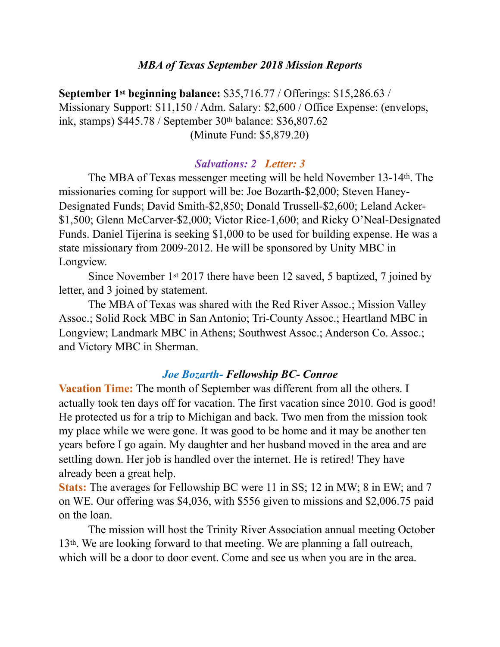#### *MBA of Texas September 2018 Mission Reports*

**September 1st beginning balance:** \$35,716.77 / Offerings: \$15,286.63 / Missionary Support: \$11,150 / Adm. Salary: \$2,600 / Office Expense: (envelops, ink, stamps) \$445.78 / September 30th balance: \$36,807.62 (Minute Fund: \$5,879.20)

## *Salvations: 2 Letter: 3*

 The MBA of Texas messenger meeting will be held November 13-14th. The missionaries coming for support will be: Joe Bozarth-\$2,000; Steven Haney-Designated Funds; David Smith-\$2,850; Donald Trussell-\$2,600; Leland Acker- \$1,500; Glenn McCarver-\$2,000; Victor Rice-1,600; and Ricky O'Neal-Designated Funds. Daniel Tijerina is seeking \$1,000 to be used for building expense. He was a state missionary from 2009-2012. He will be sponsored by Unity MBC in Longview.

 Since November 1st 2017 there have been 12 saved, 5 baptized, 7 joined by letter, and 3 joined by statement.

 The MBA of Texas was shared with the Red River Assoc.; Mission Valley Assoc.; Solid Rock MBC in San Antonio; Tri-County Assoc.; Heartland MBC in Longview; Landmark MBC in Athens; Southwest Assoc.; Anderson Co. Assoc.; and Victory MBC in Sherman.

## *Joe Bozarth- Fellowship BC- Conroe*

**Vacation Time:** The month of September was different from all the others. I actually took ten days off for vacation. The first vacation since 2010. God is good! He protected us for a trip to Michigan and back. Two men from the mission took my place while we were gone. It was good to be home and it may be another ten years before I go again. My daughter and her husband moved in the area and are settling down. Her job is handled over the internet. He is retired! They have already been a great help.

**Stats:** The averages for Fellowship BC were 11 in SS; 12 in MW; 8 in EW; and 7 on WE. Our offering was \$4,036, with \$556 given to missions and \$2,006.75 paid on the loan.

 The mission will host the Trinity River Association annual meeting October 13th. We are looking forward to that meeting. We are planning a fall outreach, which will be a door to door event. Come and see us when you are in the area.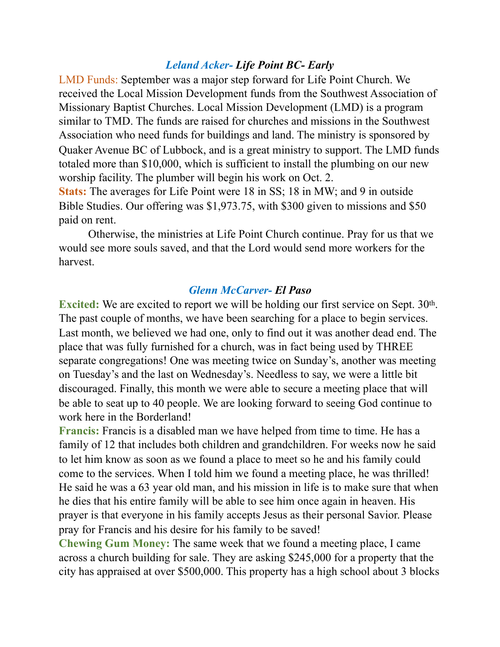## *Leland Acker- Life Point BC- Early*

LMD Funds: September was a major step forward for Life Point Church. We received the Local Mission Development funds from the Southwest Association of Missionary Baptist Churches. Local Mission Development (LMD) is a program similar to TMD. The funds are raised for churches and missions in the Southwest Association who need funds for buildings and land. The ministry is sponsored by Quaker Avenue BC of Lubbock, and is a great ministry to support. The LMD funds totaled more than \$10,000, which is sufficient to install the plumbing on our new worship facility. The plumber will begin his work on Oct. 2.

**Stats:** The averages for Life Point were 18 in SS; 18 in MW; and 9 in outside Bible Studies. Our offering was \$1,973.75, with \$300 given to missions and \$50 paid on rent.

 Otherwise, the ministries at Life Point Church continue. Pray for us that we would see more souls saved, and that the Lord would send more workers for the harvest.

#### *Glenn McCarver- El Paso*

**Excited:** We are excited to report we will be holding our first service on Sept. 30<sup>th</sup>. The past couple of months, we have been searching for a place to begin services. Last month, we believed we had one, only to find out it was another dead end. The place that was fully furnished for a church, was in fact being used by THREE separate congregations! One was meeting twice on Sunday's, another was meeting on Tuesday's and the last on Wednesday's. Needless to say, we were a little bit discouraged. Finally, this month we were able to secure a meeting place that will be able to seat up to 40 people. We are looking forward to seeing God continue to work here in the Borderland!

**Francis:** Francis is a disabled man we have helped from time to time. He has a family of 12 that includes both children and grandchildren. For weeks now he said to let him know as soon as we found a place to meet so he and his family could come to the services. When I told him we found a meeting place, he was thrilled! He said he was a 63 year old man, and his mission in life is to make sure that when he dies that his entire family will be able to see him once again in heaven. His prayer is that everyone in his family accepts Jesus as their personal Savior. Please pray for Francis and his desire for his family to be saved!

**Chewing Gum Money:** The same week that we found a meeting place, I came across a church building for sale. They are asking \$245,000 for a property that the city has appraised at over \$500,000. This property has a high school about 3 blocks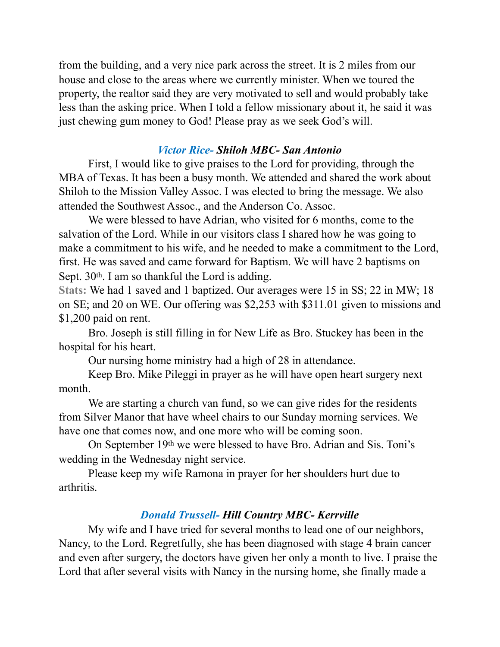from the building, and a very nice park across the street. It is 2 miles from our house and close to the areas where we currently minister. When we toured the property, the realtor said they are very motivated to sell and would probably take less than the asking price. When I told a fellow missionary about it, he said it was just chewing gum money to God! Please pray as we seek God's will.

# *Victor Rice- Shiloh MBC- San Antonio*

 First, I would like to give praises to the Lord for providing, through the MBA of Texas. It has been a busy month. We attended and shared the work about Shiloh to the Mission Valley Assoc. I was elected to bring the message. We also attended the Southwest Assoc., and the Anderson Co. Assoc.

 We were blessed to have Adrian, who visited for 6 months, come to the salvation of the Lord. While in our visitors class I shared how he was going to make a commitment to his wife, and he needed to make a commitment to the Lord, first. He was saved and came forward for Baptism. We will have 2 baptisms on Sept.  $30<sup>th</sup>$ . I am so thankful the Lord is adding.

**Stats:** We had 1 saved and 1 baptized. Our averages were 15 in SS; 22 in MW; 18 on SE; and 20 on WE. Our offering was \$2,253 with \$311.01 given to missions and \$1,200 paid on rent.

 Bro. Joseph is still filling in for New Life as Bro. Stuckey has been in the hospital for his heart.

Our nursing home ministry had a high of 28 in attendance.

 Keep Bro. Mike Pileggi in prayer as he will have open heart surgery next month.

 We are starting a church van fund, so we can give rides for the residents from Silver Manor that have wheel chairs to our Sunday morning services. We have one that comes now, and one more who will be coming soon.

 On September 19th we were blessed to have Bro. Adrian and Sis. Toni's wedding in the Wednesday night service.

 Please keep my wife Ramona in prayer for her shoulders hurt due to arthritis.

# *Donald Trussell- Hill Country MBC- Kerrville*

 My wife and I have tried for several months to lead one of our neighbors, Nancy, to the Lord. Regretfully, she has been diagnosed with stage 4 brain cancer and even after surgery, the doctors have given her only a month to live. I praise the Lord that after several visits with Nancy in the nursing home, she finally made a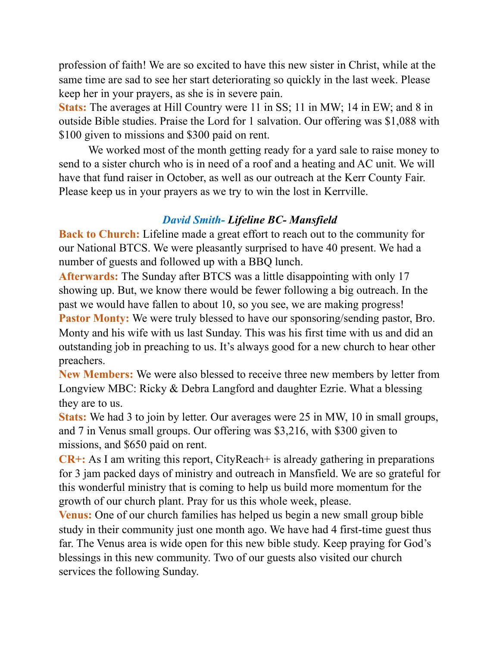profession of faith! We are so excited to have this new sister in Christ, while at the same time are sad to see her start deteriorating so quickly in the last week. Please keep her in your prayers, as she is in severe pain.

**Stats:** The averages at Hill Country were 11 in SS; 11 in MW; 14 in EW; and 8 in outside Bible studies. Praise the Lord for 1 salvation. Our offering was \$1,088 with \$100 given to missions and \$300 paid on rent.

 We worked most of the month getting ready for a yard sale to raise money to send to a sister church who is in need of a roof and a heating and AC unit. We will have that fund raiser in October, as well as our outreach at the Kerr County Fair. Please keep us in your prayers as we try to win the lost in Kerrville.

## *David Smith- Lifeline BC- Mansfield*

**Back to Church:** Lifeline made a great effort to reach out to the community for our National BTCS. We were pleasantly surprised to have 40 present. We had a number of guests and followed up with a BBQ lunch.

**Afterwards:** The Sunday after BTCS was a little disappointing with only 17 showing up. But, we know there would be fewer following a big outreach. In the past we would have fallen to about 10, so you see, we are making progress! **Pastor Monty:** We were truly blessed to have our sponsoring/sending pastor, Bro. Monty and his wife with us last Sunday. This was his first time with us and did an outstanding job in preaching to us. It's always good for a new church to hear other preachers.

**New Members:** We were also blessed to receive three new members by letter from Longview MBC: Ricky & Debra Langford and daughter Ezrie. What a blessing they are to us.

**Stats:** We had 3 to join by letter. Our averages were 25 in MW, 10 in small groups, and 7 in Venus small groups. Our offering was \$3,216, with \$300 given to missions, and \$650 paid on rent.

**CR+:** As I am writing this report, CityReach+ is already gathering in preparations for 3 jam packed days of ministry and outreach in Mansfield. We are so grateful for this wonderful ministry that is coming to help us build more momentum for the growth of our church plant. Pray for us this whole week, please.

**Venus:** One of our church families has helped us begin a new small group bible study in their community just one month ago. We have had 4 first-time guest thus far. The Venus area is wide open for this new bible study. Keep praying for God's blessings in this new community. Two of our guests also visited our church services the following Sunday.